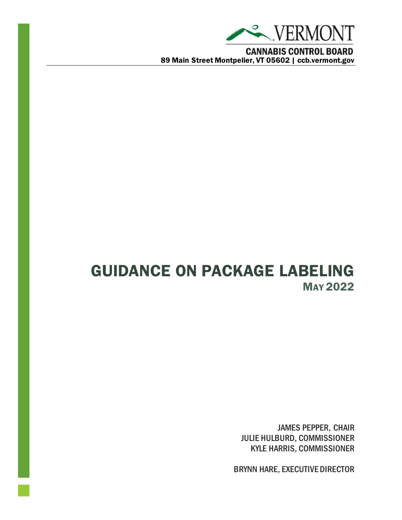

GUIDANCE ON PACKAGE LABELING MAY 2022

> JAMES PEPPER, CHAIR JULIE HULBURD, COMMISSIONER KYLE HARRIS, COMMISSIONER

BRYNN HARE, EXECUTIVE DIRECTOR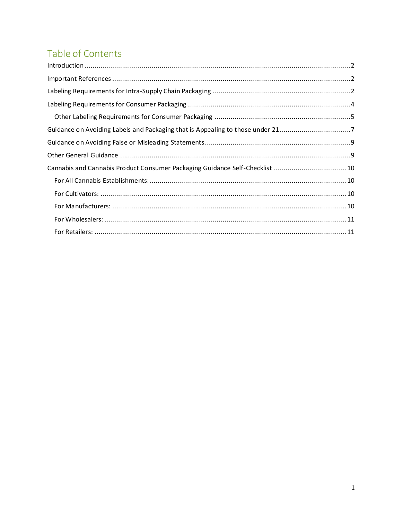# Table of Contents

| Guidance on Avoiding Labels and Packaging that is Appealing to those under 217 |  |
|--------------------------------------------------------------------------------|--|
|                                                                                |  |
|                                                                                |  |
| Cannabis and Cannabis Product Consumer Packaging Guidance Self-Checklist 10    |  |
|                                                                                |  |
|                                                                                |  |
|                                                                                |  |
|                                                                                |  |
|                                                                                |  |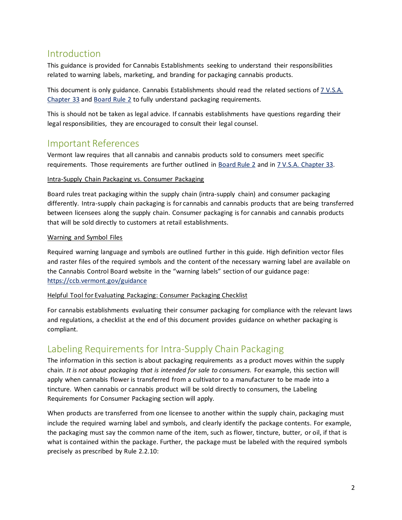# <span id="page-2-0"></span>Introduction

This guidance is provided for Cannabis Establishments seeking to understand their responsibilities related to warning labels, marketing, and branding for packaging cannabis products.

This document is only guidance. Cannabis Establishments should read the related sections o[f 7 V.S.A.](https://legislature.vermont.gov/statutes/chapter/07/033) [Chapter 33](https://legislature.vermont.gov/statutes/chapter/07/033) and [Board Rule 2](https://ccb.vermont.gov/sites/ccb/files/2022-03/Rule%202%20-%20Regulation%20of%20Cannabis%20Establishments.pdf) to fully understand packaging requirements.

This is should not be taken as legal advice. If cannabis establishments have questions regarding their legal responsibilities, they are encouraged to consult their legal counsel.

### <span id="page-2-1"></span>Important References

Vermont law requires that all cannabis and cannabis products sold to consumers meet specific requirements. Those requirements are further outlined in [Board Rule 2](https://ccb.vermont.gov/sites/ccb/files/2022-03/Rule%202%20-%20Regulation%20of%20Cannabis%20Establishments.pdf) and in 7 V.S.A. [Chapter 33.](https://legislature.vermont.gov/statutes/chapter/07/033)

### Intra-Supply Chain Packaging vs. Consumer Packaging

Board rules treat packaging within the supply chain (intra-supply chain) and consumer packaging differently. Intra-supply chain packaging is for cannabis and cannabis products that are being transferred between licensees along the supply chain. Consumer packaging is for cannabis and cannabis products that will be sold directly to customers at retail establishments.

### Warning and Symbol Files

Required warning language and symbols are outlined further in this guide. High definition vector files and raster files of the required symbols and the content of the necessary warning label are available on the Cannabis Control Board website in the "warning labels" section of our guidance page: <https://ccb.vermont.gov/guidance>

#### Helpful Tool for Evaluating Packaging: Consumer Packaging Checklist

For cannabis establishments evaluating their consumer packaging for compliance with the relevant laws and regulations, a checklist at the end of this document provides guidance on whether packaging is compliant.

## <span id="page-2-2"></span>Labeling Requirements for Intra-Supply Chain Packaging

The information in this section is about packaging requirements as a product moves within the supply chain. *It is not about packaging that is intended for sale to consumers.* For example, this section will apply when cannabis flower is transferred from a cultivator to a manufacturer to be made into a tincture. When cannabis or cannabis product will be sold directly to consumers, the Labeling Requirements for Consumer Packaging section will apply.

When products are transferred from one licensee to another within the supply chain, packaging must include the required warning label and symbols, and clearly identify the package contents. For example, the packaging must say the common name of the item, such as flower, tincture, butter, or oil, if that is what is contained within the package. Further, the package must be labeled with the required symbols precisely as prescribed by Rule 2.2.10: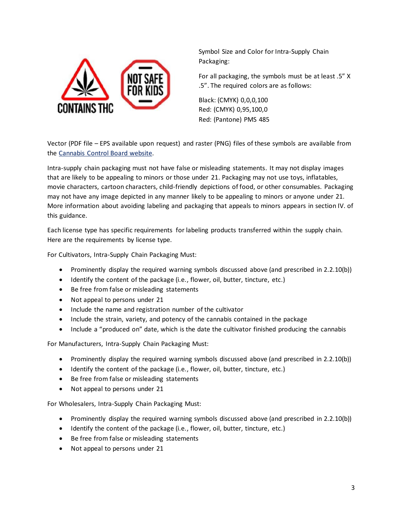

Symbol Size and Color for Intra-Supply Chain Packaging:

For all packaging, the symbols must be at least .5" X .5". The required colors are as follows:

Black: (CMYK) 0,0,0,100 Red: (CMYK) 0,95,100,0 Red: (Pantone) PMS 485

Vector (PDF file – EPS available upon request) and raster (PNG) files of these symbols are available from the [Cannabis Control Board](https://ccb.vermont.gov/guidance) website.

Intra-supply chain packaging must not have false or misleading statements. It may not display images that are likely to be appealing to minors or those under 21. Packaging may not use toys, inflatables, movie characters, cartoon characters, child-friendly depictions of food, or other consumables. Packaging may not have any image depicted in any manner likely to be appealing to minors or anyone under 21. More information about avoiding labeling and packaging that appeals to minors appears in section IV. of this guidance.

Each license type has specific requirements for labeling products transferred within the supply chain. Here are the requirements by license type.

For Cultivators, Intra-Supply Chain Packaging Must:

- Prominently display the required warning symbols discussed above (and prescribed in 2.2.10(b))
- Identify the content of the package (i.e., flower, oil, butter, tincture, etc.)
- Be free from false or misleading statements
- Not appeal to persons under 21
- Include the name and registration number of the cultivator
- Include the strain, variety, and potency of the cannabis contained in the package
- Include a "produced on" date, which is the date the cultivator finished producing the cannabis

For Manufacturers, Intra-Supply Chain Packaging Must:

- Prominently display the required warning symbols discussed above (and prescribed in 2.2.10(b))
- Identify the content of the package (i.e., flower, oil, butter, tincture, etc.)
- Be free from false or misleading statements
- Not appeal to persons under 21

For Wholesalers, Intra-Supply Chain Packaging Must:

- Prominently display the required warning symbols discussed above (and prescribed in 2.2.10(b))
- Identify the content of the package (i.e., flower, oil, butter, tincture, etc.)
- Be free from false or misleading statements
- Not appeal to persons under 21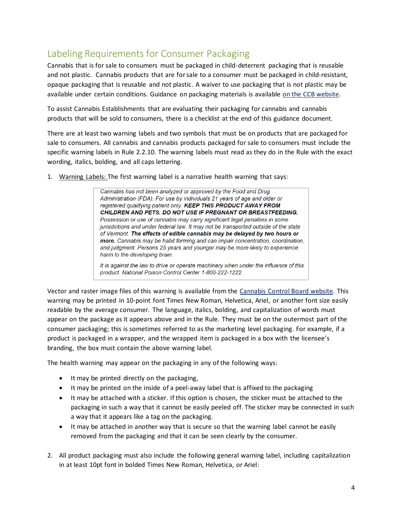# <span id="page-4-0"></span>Labeling Requirements for Consumer Packaging

Cannabis that is for sale to consumers must be packaged in child-deterrent packaging that is reusable and not plastic. Cannabis products that are for sale to a consumer must be packaged in child-resistant, opaque packaging that is reusable and not plastic. A waiver to use packaging that is not plastic may be available under certain conditions. Guidance on packaging materials is available [on the CCB website.](https://ccb.vermont.gov/guidance)

To assist Cannabis Establishments that are evaluating their packaging for cannabis and cannabis products that will be sold to consumers, there is a checklist at the end of this guidance document.

There are at least two warning labels and two symbols that must be on products that are packaged for sale to consumers. All cannabis and cannabis products packaged for sale to consumers must include the specific warning labels in Rule 2.2.10. The warning labels must read as they do in the Rule with the exact wording, italics, bolding, and all caps lettering.

1. Warning Labels: The first warning label is a narrative health warning that says:

Cannabis has not been analyzed or approved by the Food and Drug Administration (FDA). For use by individuals 21 years of age and older or registered qualifying patient only. KEEP THIS PRODUCT AWAY FROM CHILDREN AND PETS. DO NOT USE IF PREGNANT OR BREASTFEEDING. Possession or use of cannabis may carry significant legal penalties in some jurisdictions and under federal law. It may not be transported outside of the state of Vermont. The effects of edible cannabis may be delayed by two hours or more. Cannabis may be habit forming and can impair concentration, coordination, and judgment. Persons 25 years and younger may be more likely to experience harm to the developing brain.

It is against the law to drive or operate machinery when under the influence of this product. National Poison Control Center 1-800-222-1222.

Vector and raster image files of this warning is available from the [Cannabis Control Board website.](https://ccb.vermont.gov/guidance) This warning may be printed in 10-point font Times New Roman, Helvetica, Ariel, or another font size easily readable by the average consumer. The language, italics, bolding, and capitalization of words must appear on the package as it appears above and in the Rule. They must be on the outermost part of the consumer packaging; this is sometimes referred to as the marketing level packaging. For example, if a product is packaged in a wrapper, and the wrapped item is packaged in a box with the licensee's branding, the box must contain the above warning label.

The health warning may appear on the packaging in any of the following ways:

- It may be printed directly on the packaging,
- It may be printed on the inside of a peel-away label that is affixed to the packaging
- It may be attached with a sticker. If this option is chosen, the sticker must be attached to the packaging in such a way that it cannot be easily peeled off. The sticker may be connected in such a way that it appears like a tag on the packaging.
- It may be attached in another way that is secure so that the warning label cannot be easily removed from the packaging and that it can be seen clearly by the consumer.
- 2. All product packaging must also include the following general warning label, including capitalization in at least 10pt font in bolded Times New Roman, Helvetica, or Ariel: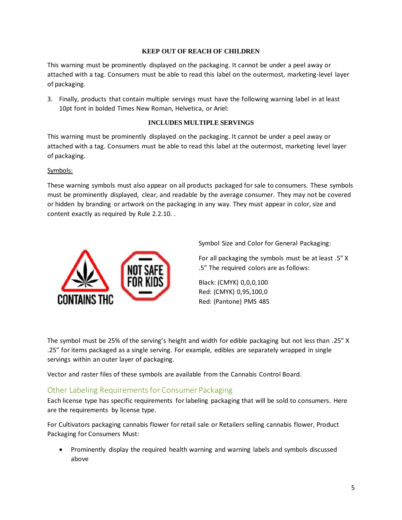#### **KEEP OUT OF REACH OF CHILDREN**

This warning must be prominently displayed on the packaging. It cannot be under a peel away or attached with a tag. Consumers must be able to read this label on the outermost, marketing-level layer of packaging.

3. Finally, products that contain multiple servings must have the following warning label in at least 10pt font in bolded Times New Roman, Helvetica, or Ariel:

### **INCLUDES MULTIPLE SERVINGS**

This warning must be prominently displayed on the packaging. It cannot be under a peel away or attached with a tag. Consumers must be able to read this label at the outermost, marketing level layer of packaging.

#### Symbols:

These warning symbols must also appear on all products packaged for sale to consumers. These symbols must be prominently displayed, clear, and readable by the average consumer. They may not be covered or hidden by branding or artwork on the packaging in any way. They must appear in color, size and content exactly as required by Rule 2.2.10. .



Symbol Size and Color for General Packaging:

For all packaging the symbols must be at least .5" X .5" The required colors are as follows:

Black: (CMYK) 0,0,0,100 Red: (CMYK) 0,95,100,0 Red: (Pantone) PMS 485

The symbol must be 25% of the serving's height and width for edible packaging but not less than .25" X .25" for items packaged as a single serving. For example, edibles are separately wrapped in single servings within an outer layer of packaging.

Vector and raster files of these symbols are available from the Cannabis Control Board.

### <span id="page-5-0"></span>Other Labeling Requirementsfor Consumer Packaging

Each license type has specific requirements for labeling packaging that will be sold to consumers. Here are the requirements by license type.

For Cultivators packaging cannabis flower for retail sale or Retailers selling cannabis flower, Product Packaging for Consumers Must:

• Prominently display the required health warning and warning labels and symbols discussed above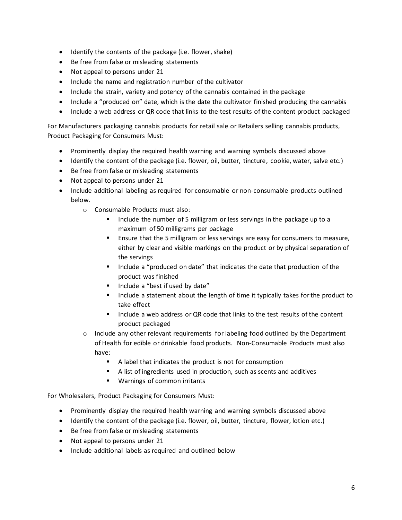- Identify the contents of the package (i.e. flower, shake)
- Be free from false or misleading statements
- Not appeal to persons under 21
- Include the name and registration number of the cultivator
- Include the strain, variety and potency of the cannabis contained in the package
- Include a "produced on" date, which is the date the cultivator finished producing the cannabis
- Include a web address or QR code that links to the test results of the content product packaged

For Manufacturers packaging cannabis products for retail sale or Retailers selling cannabis products, Product Packaging for Consumers Must:

- Prominently display the required health warning and warning symbols discussed above
- Identify the content of the package (i.e. flower, oil, butter, tincture, cookie, water, salve etc.)
- Be free from false or misleading statements
- Not appeal to persons under 21
- Include additional labeling as required for consumable or non-consumable products outlined below.
	- o Consumable Products must also:
		- Include the number of 5 milligram or less servings in the package up to a maximum of 50 milligrams per package
		- Ensure that the 5 milligram or less servings are easy for consumers to measure, either by clear and visible markings on the product or by physical separation of the servings
		- Include a "produced on date" that indicates the date that production of the product was finished
		- Include a "best if used by date"
		- Include a statement about the length of time it typically takes for the product to take effect
		- Include a web address or QR code that links to the test results of the content product packaged
	- $\circ$  Include any other relevant requirements for labeling food outlined by the Department of Health for edible or drinkable food products. Non-Consumable Products must also have:
		- A label that indicates the product is not for consumption
		- A list of ingredients used in production, such as scents and additives
		- Warnings of common irritants

For Wholesalers, Product Packaging for Consumers Must:

- Prominently display the required health warning and warning symbols discussed above
- Identify the content of the package (i.e. flower, oil, butter, tincture, flower, lotion etc.)
- Be free from false or misleading statements
- Not appeal to persons under 21
- Include additional labels as required and outlined below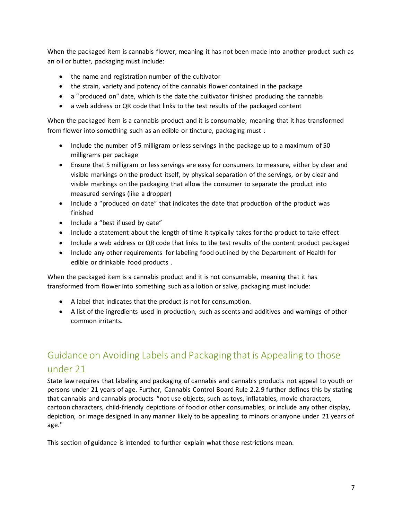When the packaged item is cannabis flower, meaning it has not been made into another product such as an oil or butter, packaging must include:

- the name and registration number of the cultivator
- the strain, variety and potency of the cannabis flower contained in the package
- a "produced on" date, which is the date the cultivator finished producing the cannabis
- a web address or QR code that links to the test results of the packaged content

When the packaged item is a cannabis product and it is consumable, meaning that it has transformed from flower into something such as an edible or tincture, packaging must :

- Include the number of 5 milligram or less servings in the package up to a maximum of 50 milligrams per package
- Ensure that 5 milligram or less servings are easy for consumers to measure, either by clear and visible markings on the product itself, by physical separation of the servings, or by clear and visible markings on the packaging that allow the consumer to separate the product into measured servings (like a dropper)
- Include a "produced on date" that indicates the date that production of the product was finished
- Include a "best if used by date"
- Include a statement about the length of time it typically takes for the product to take effect
- Include a web address or QR code that links to the test results of the content product packaged
- Include any other requirements for labeling food outlined by the Department of Health for edible or drinkable food products .

When the packaged item is a cannabis product and it is not consumable, meaning that it has transformed from flower into something such as a lotion or salve, packaging must include:

- A label that indicates that the product is not for consumption.
- A list of the ingredients used in production, such as scents and additives and warnings of other common irritants.

# <span id="page-7-0"></span>Guidance on Avoiding Labels and Packaging that is Appealing to those under 21

State law requires that labeling and packaging of cannabis and cannabis products not appeal to youth or persons under 21 years of age. Further, Cannabis Control Board Rule 2.2.9 further defines this by stating that cannabis and cannabis products "not use objects, such as toys, inflatables, movie characters, cartoon characters, child-friendly depictions of food or other consumables, or include any other display, depiction, or image designed in any manner likely to be appealing to minors or anyone under 21 years of age."

This section of guidance is intended to further explain what those restrictions mean.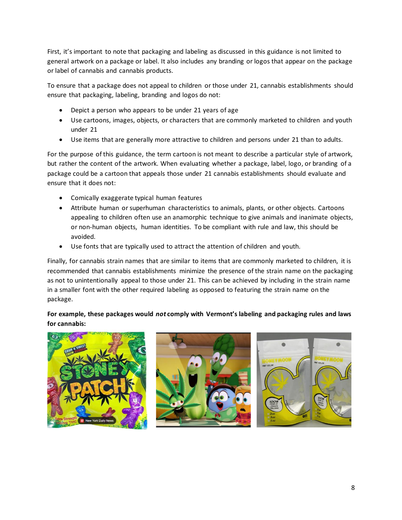First, it's important to note that packaging and labeling as discussed in this guidance is not limited to general artwork on a package or label. It also includes any branding or logos that appear on the package or label of cannabis and cannabis products.

To ensure that a package does not appeal to children or those under 21, cannabis establishments should ensure that packaging, labeling, branding and logos do not:

- Depict a person who appears to be under 21 years of age
- Use cartoons, images, objects, or characters that are commonly marketed to children and youth under 21
- Use items that are generally more attractive to children and persons under 21 than to adults.

For the purpose of this guidance, the term cartoon is not meant to describe a particular style of artwork, but rather the content of the artwork. When evaluating whether a package, label, logo, or branding of a package could be a cartoon that appeals those under 21 cannabis establishments should evaluate and ensure that it does not:

- Comically exaggerate typical human features
- Attribute human or superhuman characteristics to animals, plants, or other objects. Cartoons appealing to children often use an anamorphic technique to give animals and inanimate objects, or non-human objects, human identities. To be compliant with rule and law, this should be avoided.
- Use fonts that are typically used to attract the attention of children and youth.

Finally, for cannabis strain names that are similar to items that are commonly marketed to children, it is recommended that cannabis establishments minimize the presence of the strain name on the packaging as not to unintentionally appeal to those under 21. This can be achieved by including in the strain name in a smaller font with the other required labeling as opposed to featuring the strain name on the package.

### **For example, these packages would** *not* **comply with Vermont's labeling and packaging rules and laws for cannabis:**

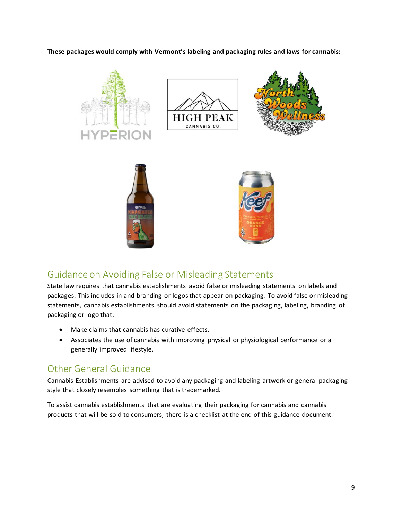**These packages would comply with Vermont's labeling and packaging rules and laws for cannabis:** 



# <span id="page-9-0"></span>Guidance on Avoiding False or Misleading Statements

State law requires that cannabis establishments avoid false or misleading statements on labels and packages. This includes in and branding or logos that appear on packaging. To avoid false or misleading statements, cannabis establishments should avoid statements on the packaging, labeling, branding of packaging or logo that:

- Make claims that cannabis has curative effects.
- Associates the use of cannabis with improving physical or physiological performance or a generally improved lifestyle.

# <span id="page-9-1"></span>Other General Guidance

Cannabis Establishments are advised to avoid any packaging and labeling artwork or general packaging style that closely resembles something that is trademarked.

To assist cannabis establishments that are evaluating their packaging for cannabis and cannabis products that will be sold to consumers, there is a checklist at the end of this guidance document.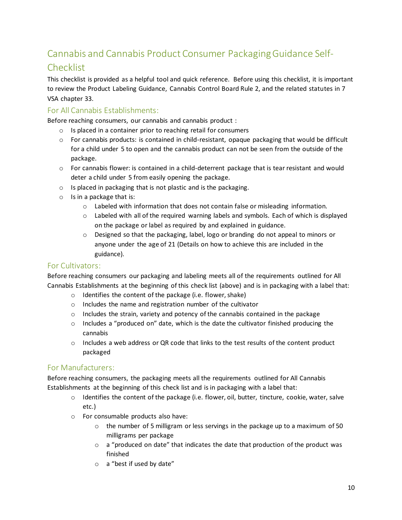# <span id="page-10-0"></span>Cannabis and Cannabis Product Consumer Packaging Guidance Self-

### **Checklist**

This checklist is provided as a helpful tool and quick reference. Before using this checklist, it is important to review the Product Labeling Guidance, Cannabis Control Board Rule 2, and the related statutes in 7 VSA chapter 33.

### <span id="page-10-1"></span>For All Cannabis Establishments:

Before reaching consumers, our cannabis and cannabis product :

- o Is placed in a container prior to reaching retail for consumers
- $\circ$  For cannabis products: is contained in child-resistant, opaque packaging that would be difficult for a child under 5 to open and the cannabis product can not be seen from the outside of the package.
- o For cannabis flower: is contained in a child-deterrent package that is tear resistant and would deter a child under 5 from easily opening the package.
- o Is placed in packaging that is not plastic and is the packaging.
- o Is in a package that is:
	- $\circ$  Labeled with information that does not contain false or misleading information.
	- o Labeled with all of the required warning labels and symbols. Each of which is displayed on the package or label as required by and explained in guidance.
	- o Designed so that the packaging, label, logo or branding do not appeal to minors or anyone under the age of 21 (Details on how to achieve this are included in the guidance).

### <span id="page-10-2"></span>For Cultivators:

Before reaching consumers our packaging and labeling meets all of the requirements outlined for All Cannabis Establishments at the beginning of this check list (above) and is in packaging with a label that:

- o Identifies the content of the package (i.e. flower, shake)
- o Includes the name and registration number of the cultivator
- $\circ$  Includes the strain, variety and potency of the cannabis contained in the package
- $\circ$  Includes a "produced on" date, which is the date the cultivator finished producing the cannabis
- o Includes a web address or QR code that links to the test results of the content product packaged

### <span id="page-10-3"></span>For Manufacturers:

Before reaching consumers, the packaging meets all the requirements outlined for All Cannabis Establishments at the beginning of this check list and is in packaging with a label that:

- $\circ$  Identifies the content of the package (i.e. flower, oil, butter, tincture, cookie, water, salve etc.)
- o For consumable products also have:
	- $\circ$  the number of 5 milligram or less servings in the package up to a maximum of 50 milligrams per package
	- $\circ$  a "produced on date" that indicates the date that production of the product was finished
	- o a "best if used by date"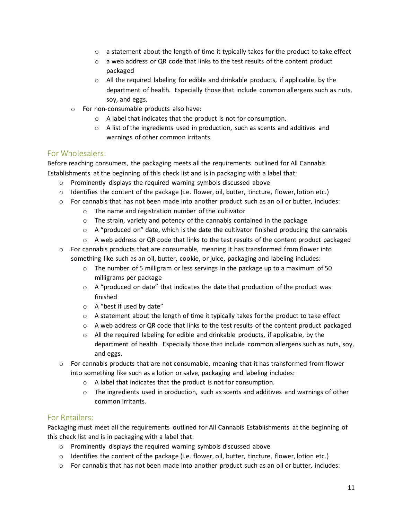- $\circ$  a statement about the length of time it typically takes for the product to take effect
- o a web address or QR code that links to the test results of the content product packaged
- $\circ$  All the required labeling for edible and drinkable products, if applicable, by the department of health. Especially those that include common allergens such as nuts, soy, and eggs.
- o For non-consumable products also have:
	- o A label that indicates that the product is not for consumption.
	- $\circ$  A list of the ingredients used in production, such as scents and additives and warnings of other common irritants.

### <span id="page-11-0"></span>For Wholesalers:

Before reaching consumers, the packaging meets all the requirements outlined for All Cannabis Establishments at the beginning of this check list and is in packaging with a label that:

- o Prominently displays the required warning symbols discussed above
- $\circ$  Identifies the content of the package (i.e. flower, oil, butter, tincture, flower, lotion etc.)
- $\circ$  For cannabis that has not been made into another product such as an oil or butter, includes:
	- o The name and registration number of the cultivator
	- o The strain, variety and potency of the cannabis contained in the package
	- $\circ$  A "produced on" date, which is the date the cultivator finished producing the cannabis
	- $\circ$  A web address or QR code that links to the test results of the content product packaged
- $\circ$  For cannabis products that are consumable, meaning it has transformed from flower into something like such as an oil, butter, cookie, or juice, packaging and labeling includes:
	- $\circ$  The number of 5 milligram or less servings in the package up to a maximum of 50 milligrams per package
	- $\circ$  A "produced on date" that indicates the date that production of the product was finished
	- o A "best if used by date"
	- $\circ$  A statement about the length of time it typically takes for the product to take effect
	- $\circ$  A web address or QR code that links to the test results of the content product packaged
	- o All the required labeling for edible and drinkable products, if applicable, by the department of health. Especially those that include common allergens such as nuts, soy, and eggs.
- $\circ$  For cannabis products that are not consumable, meaning that it has transformed from flower into something like such as a lotion or salve, packaging and labeling includes:
	- o A label that indicates that the product is not for consumption.
	- $\circ$  The ingredients used in production, such as scents and additives and warnings of other common irritants.

### <span id="page-11-1"></span>For Retailers:

Packaging must meet all the requirements outlined for All Cannabis Establishments at the beginning of this check list and is in packaging with a label that:

- o Prominently displays the required warning symbols discussed above
- $\circ$  Identifies the content of the package (i.e. flower, oil, butter, tincture, flower, lotion etc.)
- $\circ$  For cannabis that has not been made into another product such as an oil or butter, includes: